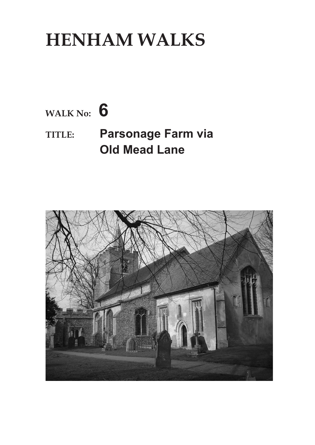## **HENHAM WALKS**

## **WALK No: 6 TITLE: Parsonage Farm via Old Mead Lane**

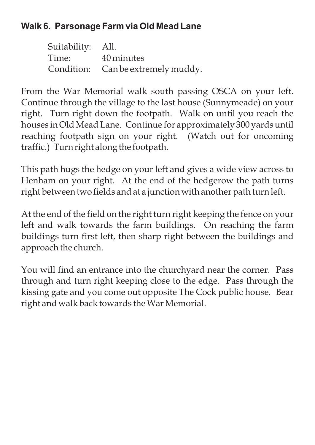## **Walk 6. Parsonage Farm via Old Mead Lane**

| Suitability: All. |                                    |
|-------------------|------------------------------------|
| Time: 40 minutes  |                                    |
|                   | Condition: Can be extremely muddy. |

From the War Memorial walk south passing OSCA on your left. Continue through the village to the last house (Sunnymeade) on your right. Turn right down the footpath. Walk on until you reach the houses in Old Mead Lane. Continue for approximately 300 yards until reaching footpath sign on your right. (Watch out for oncoming traffic.) Turn right along the footpath.

This path hugs the hedge on your left and gives a wide view across to Henham on your right. At the end of the hedgerow the path turns right between two fields and at a junction with another path turn left.

At the end of the field on the right turn right keeping the fence on your left and walk towards the farm buildings. On reaching the farm buildings turn first left, then sharp right between the buildings and approach the church.

You will find an entrance into the churchyard near the corner. Pass through and turn right keeping close to the edge. Pass through the kissing gate and you come out opposite The Cock public house. Bear right and walk back towards the War Memorial.